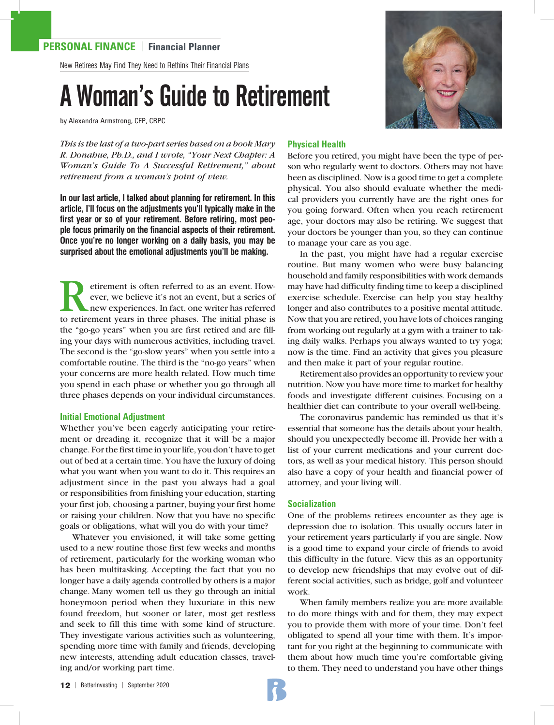New Retirees May Find They Need to Rethink Their Financial Plans

# A Woman's Guide to Retirement

by Alexandra Armstrong, CFP, CRPC

*This is the last of a two-part series based on a book Mary R. Donahue, Ph.D., and I wrote, "Your Next Chapter: A Woman's Guide To A Successful Retirement," about retirement from a woman's point of view.*

**In our last article, I talked about planning for retirement. In this article, I'll focus on the adjustments you'll typically make in the first year or so of your retirement. Before retiring, most people focus primarily on the financial aspects of their retirement. Once you're no longer working on a daily basis, you may be surprised about the emotional adjustments you'll be making.**

Experiment is often referred to as an event. How-<br>ever, we believe it's not an event, but a series of<br>new experiences. In fact, one writer has referred<br>to retirement vears in three phases. The initial phase is ever, we believe it's not an event, but a series of new experiences. In fact, one writer has referred to retirement years in three phases. The initial phase is the "go-go years" when you are first retired and are filling your days with numerous activities, including travel. The second is the "go-slow years" when you settle into a comfortable routine. The third is the "no-go years" when your concerns are more health related. How much time you spend in each phase or whether you go through all three phases depends on your individual circumstances.

### **Initial Emotional Adjustment**

Whether you've been eagerly anticipating your retirement or dreading it, recognize that it will be a major change. For the first time in your life, you don't have to get out of bed at a certain time. You have the luxury of doing what you want when you want to do it. This requires an adjustment since in the past you always had a goal or responsibilities from finishing your education, starting your first job, choosing a partner, buying your first home or raising your children. Now that you have no specific goals or obligations, what will you do with your time?

Whatever you envisioned, it will take some getting used to a new routine those first few weeks and months of retirement, particularly for the working woman who has been multitasking. Accepting the fact that you no longer have a daily agenda controlled by others is a major change. Many women tell us they go through an initial honeymoon period when they luxuriate in this new found freedom, but sooner or later, most get restless and seek to fill this time with some kind of structure. They investigate various activities such as volunteering, spending more time with family and friends, developing new interests, attending adult education classes, traveling and/or working part time.

# **Physical Health**

Before you retired, you might have been the type of person who regularly went to doctors. Others may not have been as disciplined. Now is a good time to get a complete physical. You also should evaluate whether the medical providers you currently have are the right ones for you going forward. Often when you reach retirement age, your doctors may also be retiring. We suggest that your doctors be younger than you, so they can continue to manage your care as you age.

In the past, you might have had a regular exercise routine. But many women who were busy balancing household and family responsibilities with work demands may have had difficulty finding time to keep a disciplined exercise schedule. Exercise can help you stay healthy longer and also contributes to a positive mental attitude. Now that you are retired, you have lots of choices ranging from working out regularly at a gym with a trainer to taking daily walks. Perhaps you always wanted to try yoga; now is the time. Find an activity that gives you pleasure and then make it part of your regular routine.

Retirement also provides an opportunity to review your nutrition. Now you have more time to market for healthy foods and investigate different cuisines. Focusing on a healthier diet can contribute to your overall well-being.

The coronavirus pandemic has reminded us that it's essential that someone has the details about your health, should you unexpectedly become ill. Provide her with a list of your current medications and your current doctors, as well as your medical history. This person should also have a copy of your health and financial power of attorney, and your living will.

### **Socialization**

One of the problems retirees encounter as they age is depression due to isolation. This usually occurs later in your retirement years particularly if you are single. Now is a good time to expand your circle of friends to avoid this difficulty in the future. View this as an opportunity to develop new friendships that may evolve out of different social activities, such as bridge, golf and volunteer work.

When family members realize you are more available to do more things with and for them, they may expect you to provide them with more of your time. Don't feel obligated to spend all your time with them. It's important for you right at the beginning to communicate with them about how much time you're comfortable giving to them. They need to understand you have other things